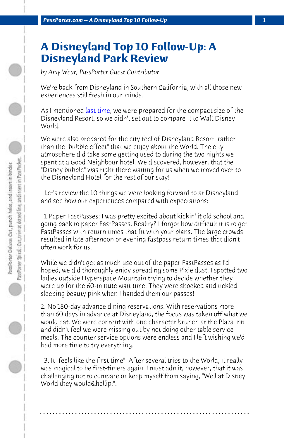*PassPorter.com -- A Disneyland Top 10 Follow-Up 1*

## **A Disneyland Top 10 Follow-Up: A Disneyland Park Review**

*by Amy Wear, PassPorter Guest Contributor*

We're back from Disneyland in Southern California, with all those new experiences still fresh in our minds.

As I mentioned last time, we were prepared for the compact size of the Disneyland Resort, so we didn't set out to compare it to Walt Disney World.

We were also prepared for the city feel of Disneyland Resort, rather than the "bubble effect" that we enjoy about the World. The city atmosphere did take some getting used to during the two nights we spent at a Good Neighbour hotel. We discovered, however, that the "Disney bubble" was right there waiting for us when we moved over to the Disneyland Hotel for the rest of our stay!

 Let's review the 10 things we were looking forward to at Disneyland and see how our experiences compared with expectations:

 1.Paper FastPasses: I was pretty excited about kickin' it old school and going back to paper FastPasses. Reality? I forgot how difficult it is to get FastPasses with return times that fit with your plans. The large crowds resulted in late afternoon or evening fastpass return times that didn't often work for us.

While we didn't get as much use out of the paper FastPasses as I'd hoped, we did thoroughly enjoy spreading some Pixie dust. I spotted two ladies outside Hyperspace Mountain trying to decide whether they were up for the 60-minute wait time. They were shocked and tickled sleeping beauty pink when I handed them our passes!

2. No 180-day advance dining reservations: With reservations more than 60 days in advance at Disneyland, the focus was taken off what we would eat. We were content with one character brunch at the Plaza Inn and didn't feel we were missing out by not doing other table service meals. The counter service options were endless and I left wishing we'd had more time to try everything.

 3. It "feels like the first time": After several trips to the World, it really was magical to be first-timers again. I must admit, however, that it was challenging not to compare or keep myself from saying, "Well at Disney World they would & hellip;".

**. . . . . . . . . . . . . . . . . . . . . . . . . . . . . . . . . . . . . . . . . . . . . . . . . . . . . . . . . . . . . . . . . .**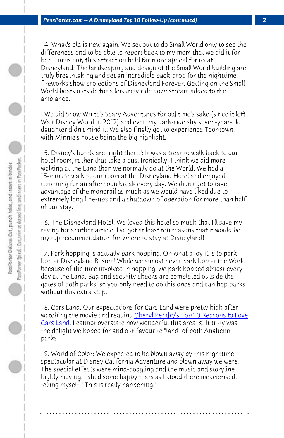*PassPorter.com -- A Disneyland Top 10 Follow-Up (continued) 2*

 4. What's old is new again: We set out to do Small World only to see the differences and to be able to report back to my mom that we did it for her. Turns out, this attraction held far more appeal for us at Disneyland. The landscaping and design of the Small World building are truly breathtaking and set an incredible back-drop for the nighttime fireworks show projections of Disneyland Forever. Getting on the Small World boats outside for a leisurely ride downstream added to the ambiance.

 We did Snow White's Scary Adventures for old time's sake (since it left Walt Disney World in 2012) and even my dark-ride shy seven-year-old daughter didn't mind it. We also finally got to experience Toontown, with Minnie's house being the big highlight.

 5. Disney's hotels are "right there": It was a treat to walk back to our hotel room, rather that take a bus. Ironically, I think we did more walking at the Land than we normally do at the World. We had a 15-minute walk to our room at the Disneyland Hotel and enjoyed returning for an afternoon brea[k every day. We didn](http://www.passporter.com/articles/10-reasons-to-love-cars-land.php)'[t get to take](http://www.passporter.com/articles/10-reasons-to-love-cars-land.php) [advantage](http://www.passporter.com/articles/10-reasons-to-love-cars-land.php) of the monorail as much as we would have liked due to extremely long line-ups and a shutdown of operation for more than half of our stay.

 6. The Disneyland Hotel: We loved this hotel so much that I'll save my raving for another article. I've got at least ten reasons that it would be my top recommendation for where to stay at Disneyland!

 7. Park hopping is actually park hopping: Oh what a joy it is to park hop at Disneyland Resort! While we almost never park hop at the World because of the time involved in hopping, we park hopped almost every day at the Land. Bag and security checks are completed outside the gates of both parks, so you only need to do this once and can hop parks without this extra step.

 8. Cars Land: Our expectations for Cars Land were pretty high after watching the movie and reading Cheryl Pendry's Top 10 Reasons to Love Cars Land. I cannot overstate how wonderful this area is! It truly was the delight we hoped for and our favourite "land" of both Anaheim parks.

 9. World of Color: We expected to be blown away by this nighttime spectacular at Disney California Adventure and blown away we were! The special effects were mind-boggling and the music and storyline highly moving. I shed some happy tears as I stood there mesmerised, telling myself, "This is really happening."

**. . . . . . . . . . . . . . . . . . . . . . . . . . . . . . . . . . . . . . . . . . . . . . . . . . . . . . . . . . . . . . . . . .**

 $\bigcirc$